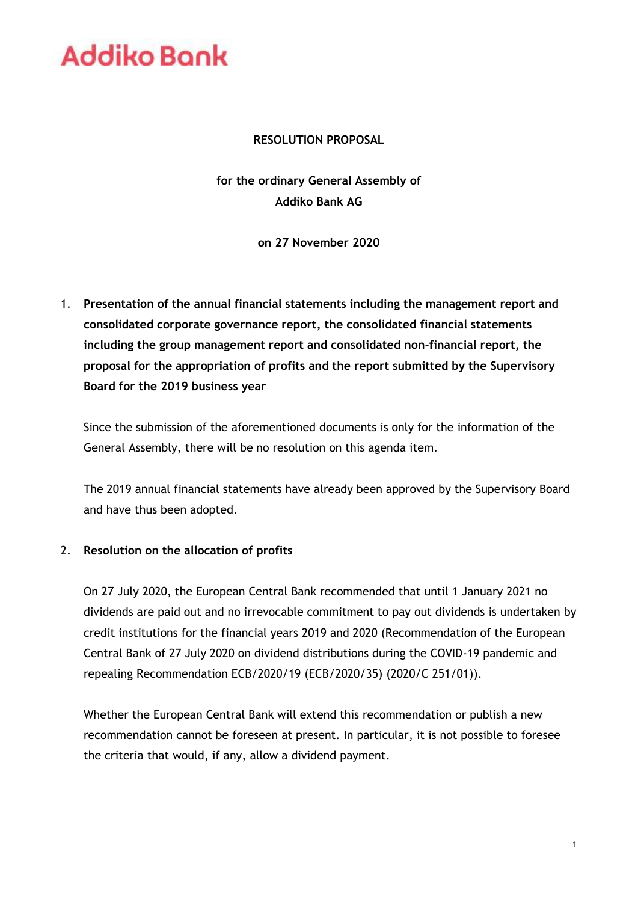### **RESOLUTION PROPOSAL**

**for the ordinary General Assembly of Addiko Bank AG**

**on 27 November 2020**

1. **Presentation of the annual financial statements including the management report and consolidated corporate governance report, the consolidated financial statements including the group management report and consolidated non-financial report, the proposal for the appropriation of profits and the report submitted by the Supervisory Board for the 2019 business year**

Since the submission of the aforementioned documents is only for the information of the General Assembly, there will be no resolution on this agenda item.

The 2019 annual financial statements have already been approved by the Supervisory Board and have thus been adopted.

### 2. **Resolution on the allocation of profits**

On 27 July 2020, the European Central Bank recommended that until 1 January 2021 no dividends are paid out and no irrevocable commitment to pay out dividends is undertaken by credit institutions for the financial years 2019 and 2020 (Recommendation of the European Central Bank of 27 July 2020 on dividend distributions during the COVID-19 pandemic and repealing Recommendation ECB/2020/19 (ECB/2020/35) (2020/C 251/01)).

Whether the European Central Bank will extend this recommendation or publish a new recommendation cannot be foreseen at present. In particular, it is not possible to foresee the criteria that would, if any, allow a dividend payment.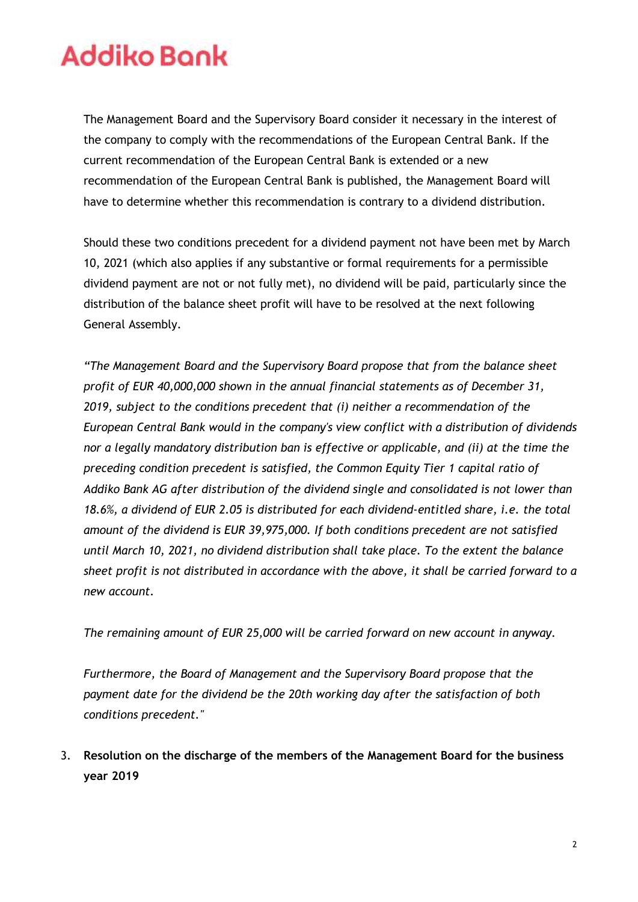The Management Board and the Supervisory Board consider it necessary in the interest of the company to comply with the recommendations of the European Central Bank. If the current recommendation of the European Central Bank is extended or a new recommendation of the European Central Bank is published, the Management Board will have to determine whether this recommendation is contrary to a dividend distribution.

Should these two conditions precedent for a dividend payment not have been met by March 10, 2021 (which also applies if any substantive or formal requirements for a permissible dividend payment are not or not fully met), no dividend will be paid, particularly since the distribution of the balance sheet profit will have to be resolved at the next following General Assembly.

*"The Management Board and the Supervisory Board propose that from the balance sheet profit of EUR 40,000,000 shown in the annual financial statements as of December 31, 2019, subject to the conditions precedent that (i) neither a recommendation of the European Central Bank would in the company's view conflict with a distribution of dividends nor a legally mandatory distribution ban is effective or applicable, and (ii) at the time the preceding condition precedent is satisfied, the Common Equity Tier 1 capital ratio of Addiko Bank AG after distribution of the dividend single and consolidated is not lower than 18.6%, a dividend of EUR 2.05 is distributed for each dividend-entitled share, i.e. the total amount of the dividend is EUR 39,975,000. If both conditions precedent are not satisfied until March 10, 2021, no dividend distribution shall take place. To the extent the balance sheet profit is not distributed in accordance with the above, it shall be carried forward to a new account.*

*The remaining amount of EUR 25,000 will be carried forward on new account in anyway.*

*Furthermore, the Board of Management and the Supervisory Board propose that the payment date for the dividend be the 20th working day after the satisfaction of both conditions precedent."*

3. **Resolution on the discharge of the members of the Management Board for the business year 2019**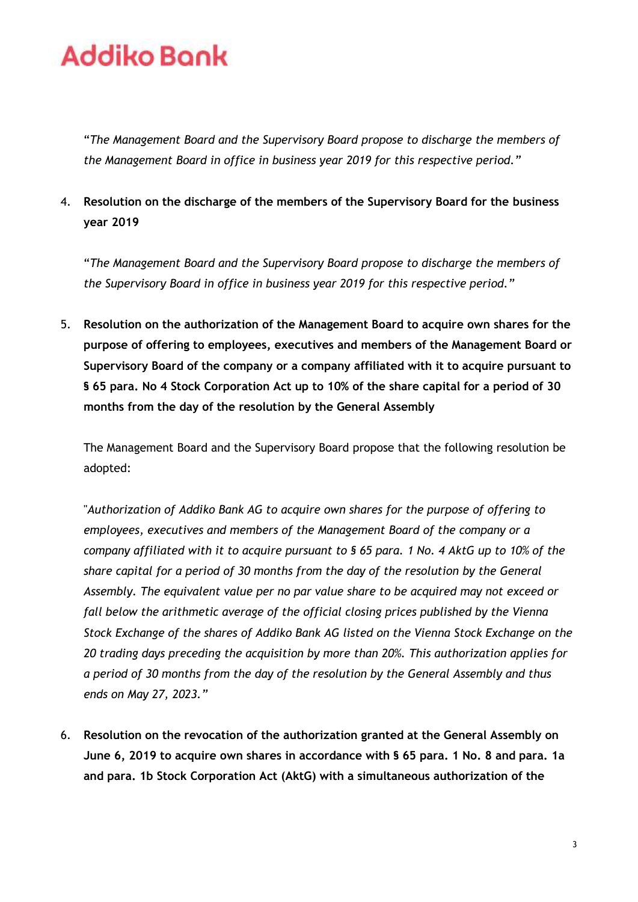"*The Management Board and the Supervisory Board propose to discharge the members of the Management Board in office in business year 2019 for this respective period."*

4. **Resolution on the discharge of the members of the Supervisory Board for the business year 2019**

"*The Management Board and the Supervisory Board propose to discharge the members of the Supervisory Board in office in business year 2019 for this respective period."*

5. **Resolution on the authorization of the Management Board to acquire own shares for the purpose of offering to employees, executives and members of the Management Board or Supervisory Board of the company or a company affiliated with it to acquire pursuant to § 65 para. No 4 Stock Corporation Act up to 10% of the share capital for a period of 30 months from the day of the resolution by the General Assembly**

The Management Board and the Supervisory Board propose that the following resolution be adopted:

"*Authorization of Addiko Bank AG to acquire own shares for the purpose of offering to employees, executives and members of the Management Board of the company or a company affiliated with it to acquire pursuant to § 65 para. 1 No. 4 AktG up to 10% of the share capital for a period of 30 months from the day of the resolution by the General Assembly. The equivalent value per no par value share to be acquired may not exceed or fall below the arithmetic average of the official closing prices published by the Vienna Stock Exchange of the shares of Addiko Bank AG listed on the Vienna Stock Exchange on the 20 trading days preceding the acquisition by more than 20%. This authorization applies for a period of 30 months from the day of the resolution by the General Assembly and thus ends on May 27, 2023."*

6. **Resolution on the revocation of the authorization granted at the General Assembly on June 6, 2019 to acquire own shares in accordance with § 65 para. 1 No. 8 and para. 1a and para. 1b Stock Corporation Act (AktG) with a simultaneous authorization of the**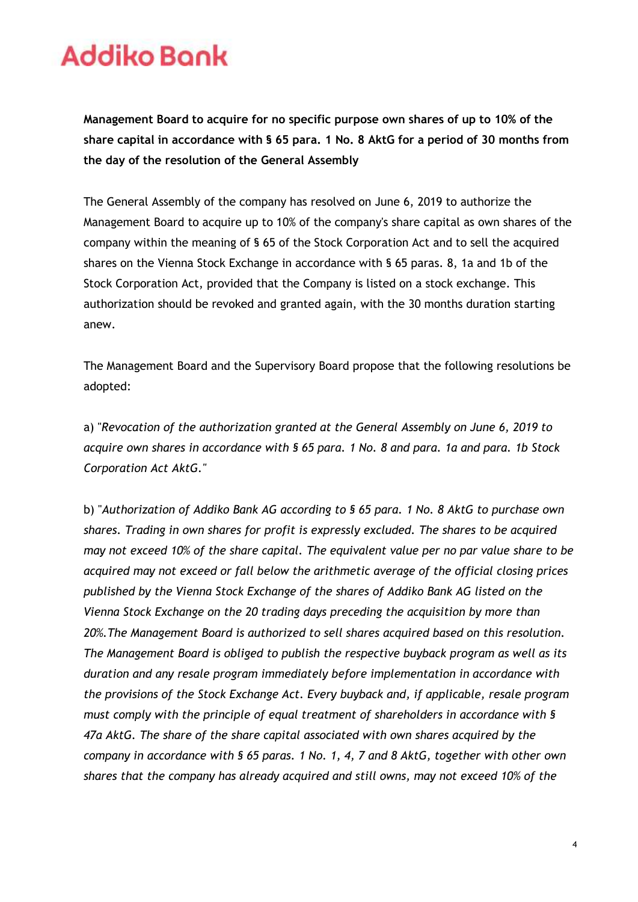**Management Board to acquire for no specific purpose own shares of up to 10% of the share capital in accordance with § 65 para. 1 No. 8 AktG for a period of 30 months from the day of the resolution of the General Assembly**

The General Assembly of the company has resolved on June 6, 2019 to authorize the Management Board to acquire up to 10% of the company's share capital as own shares of the company within the meaning of § 65 of the Stock Corporation Act and to sell the acquired shares on the Vienna Stock Exchange in accordance with § 65 paras. 8, 1a and 1b of the Stock Corporation Act, provided that the Company is listed on a stock exchange. This authorization should be revoked and granted again, with the 30 months duration starting anew.

The Management Board and the Supervisory Board propose that the following resolutions be adopted:

a) "*Revocation of the authorization granted at the General Assembly on June 6, 2019 to acquire own shares in accordance with § 65 para. 1 No. 8 and para. 1a and para. 1b Stock Corporation Act AktG."*

b) "*Authorization of Addiko Bank AG according to § 65 para. 1 No. 8 AktG to purchase own shares. Trading in own shares for profit is expressly excluded. The shares to be acquired may not exceed 10% of the share capital. The equivalent value per no par value share to be acquired may not exceed or fall below the arithmetic average of the official closing prices published by the Vienna Stock Exchange of the shares of Addiko Bank AG listed on the Vienna Stock Exchange on the 20 trading days preceding the acquisition by more than 20%.The Management Board is authorized to sell shares acquired based on this resolution. The Management Board is obliged to publish the respective buyback program as well as its duration and any resale program immediately before implementation in accordance with the provisions of the Stock Exchange Act. Every buyback and, if applicable, resale program must comply with the principle of equal treatment of shareholders in accordance with § 47a AktG. The share of the share capital associated with own shares acquired by the company in accordance with § 65 paras. 1 No. 1, 4, 7 and 8 AktG, together with other own shares that the company has already acquired and still owns, may not exceed 10% of the*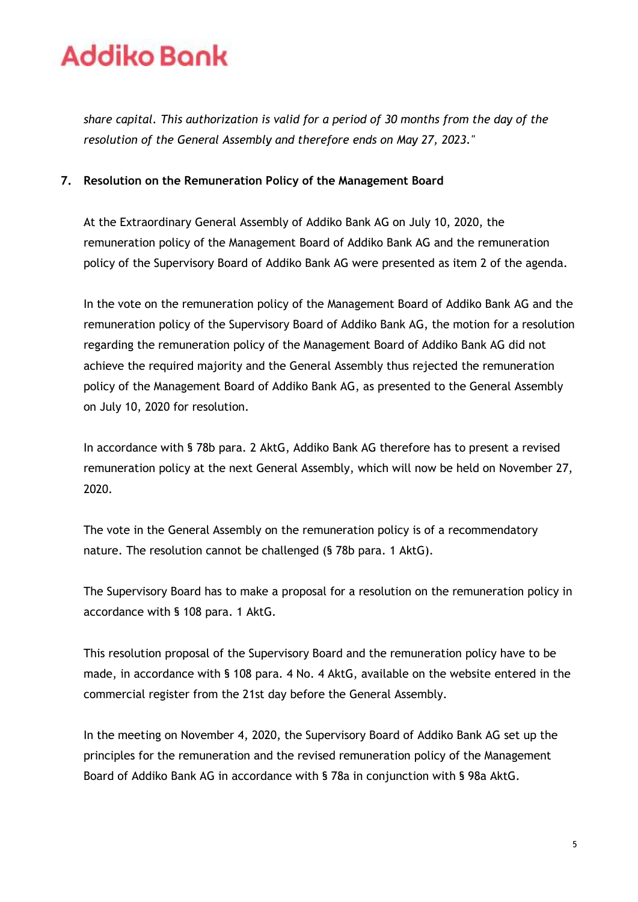*share capital. This authorization is valid for a period of 30 months from the day of the resolution of the General Assembly and therefore ends on May 27, 2023."*

### **7. Resolution on the Remuneration Policy of the Management Board**

At the Extraordinary General Assembly of Addiko Bank AG on July 10, 2020, the remuneration policy of the Management Board of Addiko Bank AG and the remuneration policy of the Supervisory Board of Addiko Bank AG were presented as item 2 of the agenda.

In the vote on the remuneration policy of the Management Board of Addiko Bank AG and the remuneration policy of the Supervisory Board of Addiko Bank AG, the motion for a resolution regarding the remuneration policy of the Management Board of Addiko Bank AG did not achieve the required majority and the General Assembly thus rejected the remuneration policy of the Management Board of Addiko Bank AG, as presented to the General Assembly on July 10, 2020 for resolution.

In accordance with § 78b para. 2 AktG, Addiko Bank AG therefore has to present a revised remuneration policy at the next General Assembly, which will now be held on November 27, 2020.

The vote in the General Assembly on the remuneration policy is of a recommendatory nature. The resolution cannot be challenged (§ 78b para. 1 AktG).

The Supervisory Board has to make a proposal for a resolution on the remuneration policy in accordance with § 108 para. 1 AktG.

This resolution proposal of the Supervisory Board and the remuneration policy have to be made, in accordance with § 108 para. 4 No. 4 AktG, available on the website entered in the commercial register from the 21st day before the General Assembly.

In the meeting on November 4, 2020, the Supervisory Board of Addiko Bank AG set up the principles for the remuneration and the revised remuneration policy of the Management Board of Addiko Bank AG in accordance with § 78a in conjunction with § 98a AktG.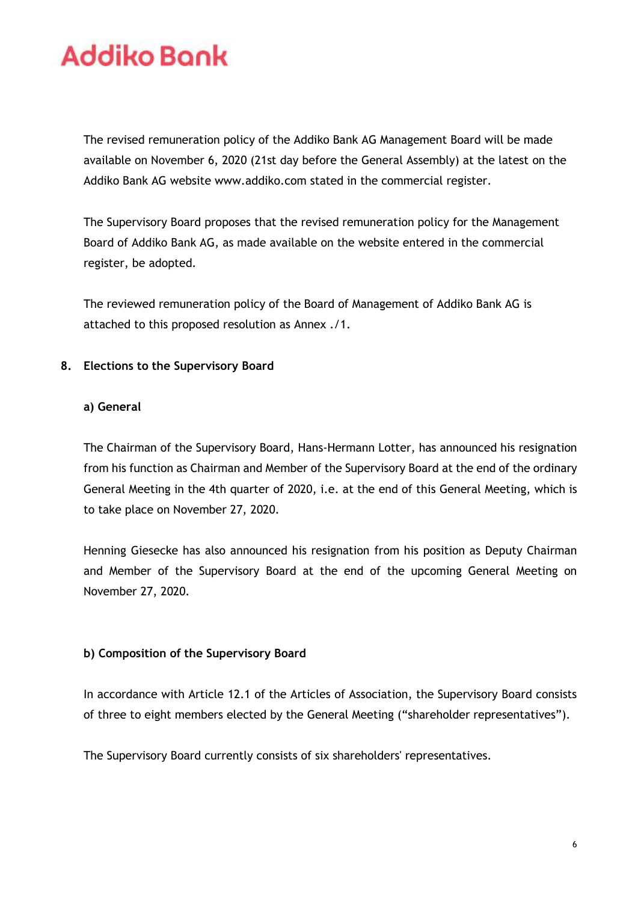The revised remuneration policy of the Addiko Bank AG Management Board will be made available on November 6, 2020 (21st day before the General Assembly) at the latest on the Addiko Bank AG website www.addiko.com stated in the commercial register.

The Supervisory Board proposes that the revised remuneration policy for the Management Board of Addiko Bank AG, as made available on the website entered in the commercial register, be adopted.

The reviewed remuneration policy of the Board of Management of Addiko Bank AG is attached to this proposed resolution as Annex ./1.

### **8. Elections to the Supervisory Board**

### **a) General**

The Chairman of the Supervisory Board, Hans-Hermann Lotter, has announced his resignation from his function as Chairman and Member of the Supervisory Board at the end of the ordinary General Meeting in the 4th quarter of 2020, i.e. at the end of this General Meeting, which is to take place on November 27, 2020.

Henning Giesecke has also announced his resignation from his position as Deputy Chairman and Member of the Supervisory Board at the end of the upcoming General Meeting on November 27, 2020.

### **b) Composition of the Supervisory Board**

In accordance with Article 12.1 of the Articles of Association, the Supervisory Board consists of three to eight members elected by the General Meeting ("shareholder representatives").

The Supervisory Board currently consists of six shareholders' representatives.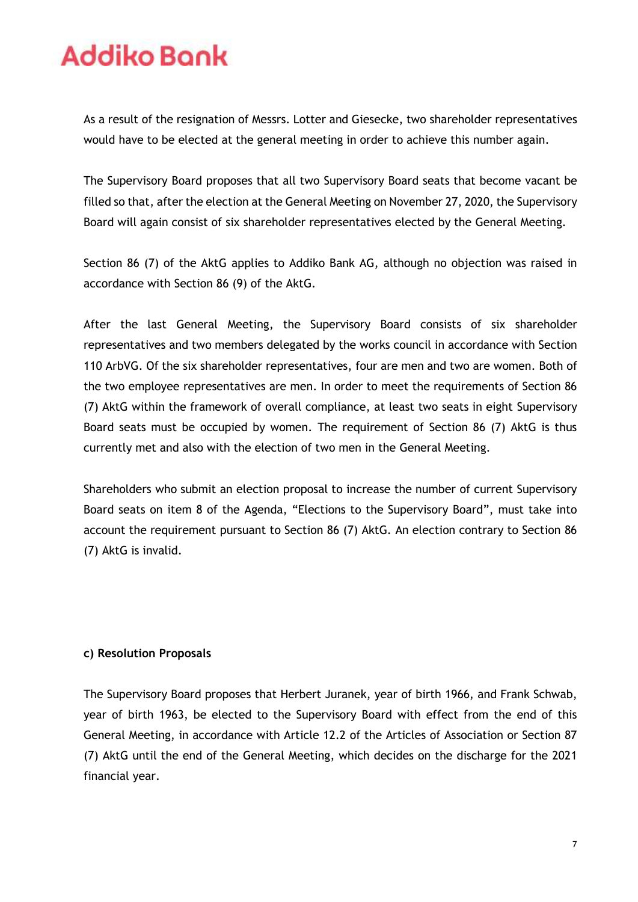As a result of the resignation of Messrs. Lotter and Giesecke, two shareholder representatives would have to be elected at the general meeting in order to achieve this number again.

The Supervisory Board proposes that all two Supervisory Board seats that become vacant be filled so that, after the election at the General Meeting on November 27, 2020, the Supervisory Board will again consist of six shareholder representatives elected by the General Meeting.

Section 86 (7) of the AktG applies to Addiko Bank AG, although no objection was raised in accordance with Section 86 (9) of the AktG.

After the last General Meeting, the Supervisory Board consists of six shareholder representatives and two members delegated by the works council in accordance with Section 110 ArbVG. Of the six shareholder representatives, four are men and two are women. Both of the two employee representatives are men. In order to meet the requirements of Section 86 (7) AktG within the framework of overall compliance, at least two seats in eight Supervisory Board seats must be occupied by women. The requirement of Section 86 (7) AktG is thus currently met and also with the election of two men in the General Meeting.

Shareholders who submit an election proposal to increase the number of current Supervisory Board seats on item 8 of the Agenda, "Elections to the Supervisory Board", must take into account the requirement pursuant to Section 86 (7) AktG. An election contrary to Section 86 (7) AktG is invalid.

### **c) Resolution Proposals**

The Supervisory Board proposes that Herbert Juranek, year of birth 1966, and Frank Schwab, year of birth 1963, be elected to the Supervisory Board with effect from the end of this General Meeting, in accordance with Article 12.2 of the Articles of Association or Section 87 (7) AktG until the end of the General Meeting, which decides on the discharge for the 2021 financial year.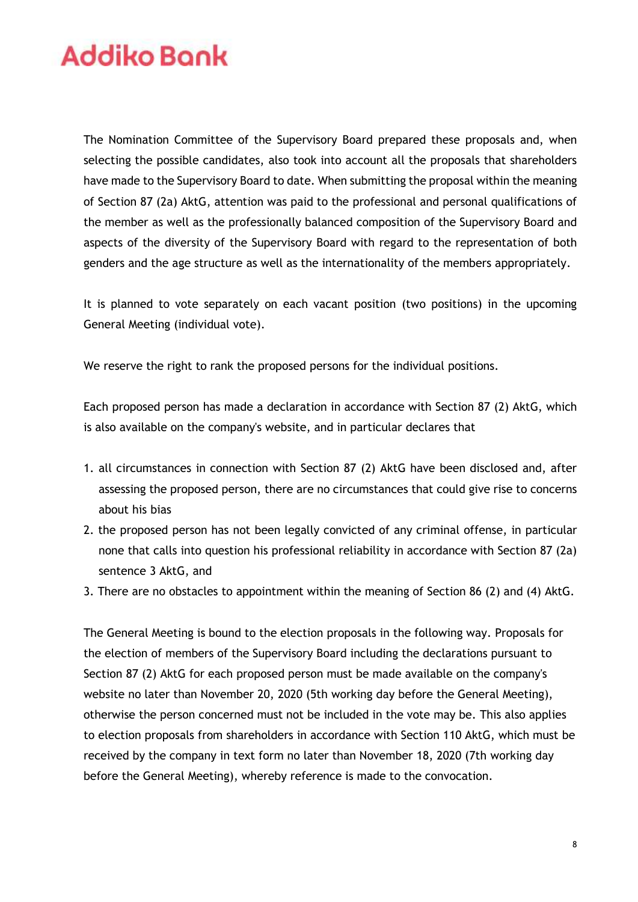The Nomination Committee of the Supervisory Board prepared these proposals and, when selecting the possible candidates, also took into account all the proposals that shareholders have made to the Supervisory Board to date. When submitting the proposal within the meaning of Section 87 (2a) AktG, attention was paid to the professional and personal qualifications of the member as well as the professionally balanced composition of the Supervisory Board and aspects of the diversity of the Supervisory Board with regard to the representation of both genders and the age structure as well as the internationality of the members appropriately.

It is planned to vote separately on each vacant position (two positions) in the upcoming General Meeting (individual vote).

We reserve the right to rank the proposed persons for the individual positions.

Each proposed person has made a declaration in accordance with Section 87 (2) AktG, which is also available on the company's website, and in particular declares that

- 1. all circumstances in connection with Section 87 (2) AktG have been disclosed and, after assessing the proposed person, there are no circumstances that could give rise to concerns about his bias
- 2. the proposed person has not been legally convicted of any criminal offense, in particular none that calls into question his professional reliability in accordance with Section 87 (2a) sentence 3 AktG, and
- 3. There are no obstacles to appointment within the meaning of Section 86 (2) and (4) AktG.

The General Meeting is bound to the election proposals in the following way. Proposals for the election of members of the Supervisory Board including the declarations pursuant to Section 87 (2) AktG for each proposed person must be made available on the company's website no later than November 20, 2020 (5th working day before the General Meeting), otherwise the person concerned must not be included in the vote may be. This also applies to election proposals from shareholders in accordance with Section 110 AktG, which must be received by the company in text form no later than November 18, 2020 (7th working day before the General Meeting), whereby reference is made to the convocation.